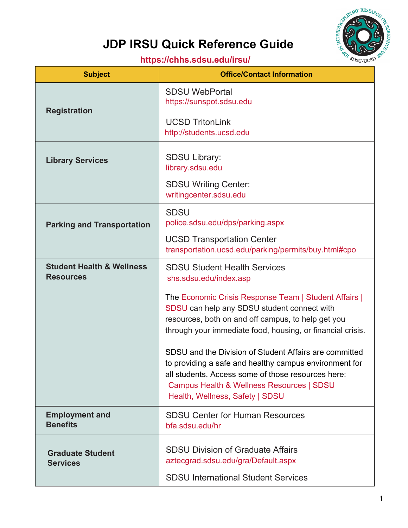

## **JDP IRSU Quick Reference Guide**

## **<https://chhs.sdsu.edu/irsu/>**

| <b>Subject</b>                                           | <b>Office/Contact Information</b>                                                                                                                                                                                                                                                                                                                                                                                                                                                                                                                   |
|----------------------------------------------------------|-----------------------------------------------------------------------------------------------------------------------------------------------------------------------------------------------------------------------------------------------------------------------------------------------------------------------------------------------------------------------------------------------------------------------------------------------------------------------------------------------------------------------------------------------------|
| <b>Registration</b>                                      | <b>SDSU WebPortal</b><br>https://sunspot.sdsu.edu<br><b>UCSD TritonLink</b><br>http://students.ucsd.edu                                                                                                                                                                                                                                                                                                                                                                                                                                             |
| <b>Library Services</b>                                  | <b>SDSU Library:</b><br>library.sdsu.edu<br><b>SDSU Writing Center:</b><br>writingcenter.sdsu.edu                                                                                                                                                                                                                                                                                                                                                                                                                                                   |
| <b>Parking and Transportation</b>                        | <b>SDSU</b><br>police.sdsu.edu/dps/parking.aspx<br><b>UCSD Transportation Center</b><br>transportation.ucsd.edu/parking/permits/buy.html#cpo                                                                                                                                                                                                                                                                                                                                                                                                        |
| <b>Student Health &amp; Wellness</b><br><b>Resources</b> | <b>SDSU Student Health Services</b><br>shs.sdsu.edu/index.asp<br>The Economic Crisis Response Team   Student Affairs  <br>SDSU can help any SDSU student connect with<br>resources, both on and off campus, to help get you<br>through your immediate food, housing, or financial crisis.<br>SDSU and the Division of Student Affairs are committed<br>to providing a safe and healthy campus environment for<br>all students. Access some of those resources here:<br>Campus Health & Wellness Resources   SDSU<br>Health, Wellness, Safety   SDSU |
| <b>Employment and</b><br><b>Benefits</b>                 | <b>SDSU Center for Human Resources</b><br>bfa.sdsu.edu/hr                                                                                                                                                                                                                                                                                                                                                                                                                                                                                           |
| <b>Graduate Student</b><br><b>Services</b>               | <b>SDSU Division of Graduate Affairs</b><br>aztecgrad.sdsu.edu/gra/Default.aspx<br><b>SDSU International Student Services</b>                                                                                                                                                                                                                                                                                                                                                                                                                       |